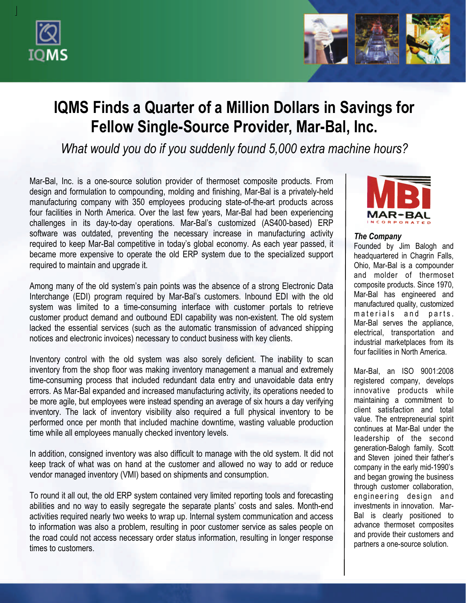



# **IQMS Finds a Quarter of a Million Dollars in Savings for Fellow Single-Source Provider, Mar-Bal, Inc.**

*What would you do if you suddenly found 5,000 extra machine hours?*

Mar-Bal, Inc. is a one-source solution provider of thermoset composite products. From design and formulation to compounding, molding and finishing, Mar-Bal is a privately-held manufacturing company with 350 employees producing state-of-the-art products across four facilities in North America. Over the last few years, Mar-Bal had been experiencing challenges in its day-to-day operations. Mar-Bal's customized (AS400-based) ERP software was outdated, preventing the necessary increase in manufacturing activity required to keep Mar-Bal competitive in today's global economy. As each year passed, it became more expensive to operate the old ERP system due to the specialized support required to maintain and upgrade it.

Among many of the old system's pain points was the absence of a strong Electronic Data Interchange (EDI) program required by Mar-Bal's customers. Inbound EDI with the old system was limited to a time-consuming interface with customer portals to retrieve customer product demand and outbound EDI capability was non-existent. The old system lacked the essential services (such as the automatic transmission of advanced shipping notices and electronic invoices) necessary to conduct business with key clients.

Inventory control with the old system was also sorely deficient. The inability to scan inventory from the shop floor was making inventory management a manual and extremely time-consuming process that included redundant data entry and unavoidable data entry errors. As Mar-Bal expanded and increased manufacturing activity, its operations needed to be more agile, but employees were instead spending an average of six hours a day verifying inventory. The lack of inventory visibility also required a full physical inventory to be performed once per month that included machine downtime, wasting valuable production time while all employees manually checked inventory levels.

In addition, consigned inventory was also difficult to manage with the old system. It did not keep track of what was on hand at the customer and allowed no way to add or reduce vendor managed inventory (VMI) based on shipments and consumption.

To round it all out, the old ERP system contained very limited reporting tools and forecasting abilities and no way to easily segregate the separate plants' costs and sales. Month-end activities required nearly two weeks to wrap up. Internal system communication and access to information was also a problem, resulting in poor customer service as sales people on the road could not access necessary order status information, resulting in longer response times to customers.



### *The Company*

Founded by Jim Balogh and headquartered in Chagrin Falls, Ohio, Mar-Bal is a compounder and molder of thermoset composite products. Since 1970, Mar-Bal has engineered and manufactured quality, customized materials and parts. Mar-Bal serves the appliance, electrical, transportation and industrial marketplaces from its four facilities in North America.

Mar-Bal, an ISO 9001:2008 registered company, develops innovative products while maintaining a commitment to client satisfaction and total value. The entrepreneurial spirit continues at Mar-Bal under the leadership of the second generation-Balogh family. Scott and Steven joined their father's company in the early mid-1990's and began growing the business through customer collaboration, engineering design and investments in innovation. Mar-Bal is clearly positioned to advance thermoset composites and provide their customers and partners a one-source solution.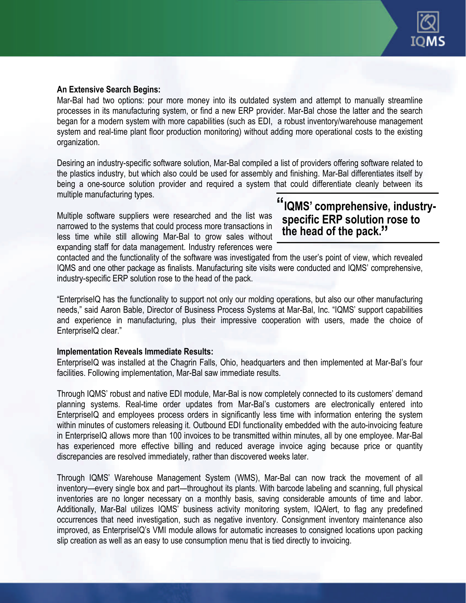

#### **An Extensive Search Begins:**

Mar-Bal had two options: pour more money into its outdated system and attempt to manually streamline processes in its manufacturing system, or find a new ERP provider. Mar-Bal chose the latter and the search began for a modern system with more capabilities (such as EDI, a robust inventory/warehouse management system and real-time plant floor production monitoring) without adding more operational costs to the existing organization.

Desiring an industry-specific software solution, Mar-Bal compiled a list of providers offering software related to the plastics industry, but which also could be used for assembly and finishing. Mar-Bal differentiates itself by being a one-source solution provider and required a system that could differentiate cleanly between its multiple manufacturing types.

Multiple software suppliers were researched and the list was narrowed to the systems that could process more transactions in less time while still allowing Mar-Bal to grow sales without expanding staff for data management. Industry references were

# **"IQMS' comprehensive, industry specific ERP solution rose to the head of the pack. "**

contacted and the functionality of the software was investigated from the user's point of view, which revealed IQMS and one other package as finalists. Manufacturing site visits were conducted and IQMS' comprehensive, industry-specific ERP solution rose to the head of the pack.

"EnterpriseIQ has the functionality to support not only our molding operations, but also our other manufacturing needs," said Aaron Bable, Director of Business Process Systems at Mar-Bal, Inc. "IQMS' support capabilities and experience in manufacturing, plus their impressive cooperation with users, made the choice of EnterpriseIQ clear."

#### **Implementation Reveals Immediate Results:**

EnterpriseIQ was installed at the Chagrin Falls, Ohio, headquarters and then implemented at Mar-Bal's four facilities. Following implementation, Mar-Bal saw immediate results.

Through IQMS' robust and native EDI module, Mar-Bal is now completely connected to its customers' demand planning systems. Real-time order updates from Mar-Bal's customers are electronically entered into EnterpriseIQ and employees process orders in significantly less time with information entering the system within minutes of customers releasing it. Outbound EDI functionality embedded with the auto-invoicing feature in EnterpriseIQ allows more than 100 invoices to be transmitted within minutes, all by one employee. Mar-Bal has experienced more effective billing and reduced average invoice aging because price or quantity discrepancies are resolved immediately, rather than discovered weeks later.

Through IQMS' Warehouse Management System (WMS), Mar-Bal can now track the movement of all inventory—every single box and part—throughout its plants. With barcode labeling and scanning, full physical inventories are no longer necessary on a monthly basis, saving considerable amounts of time and labor. Additionally, Mar-Bal utilizes IQMS' business activity monitoring system, IQAlert, to flag any predefined occurrences that need investigation, such as negative inventory. Consignment inventory maintenance also improved, as EnterpriseIQ's VMI module allows for automatic increases to consigned locations upon packing slip creation as well as an easy to use consumption menu that is tied directly to invoicing.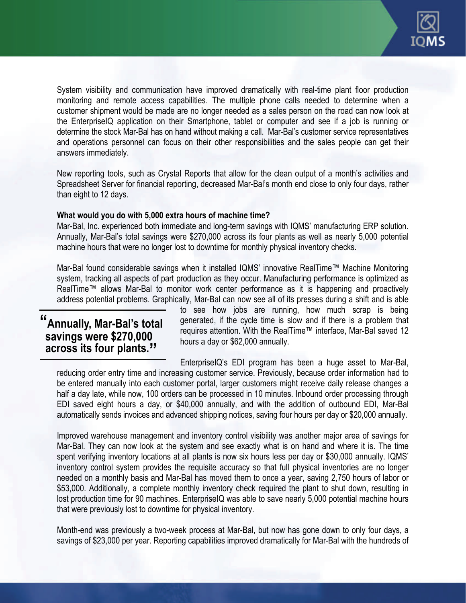

System visibility and communication have improved dramatically with real-time plant floor production monitoring and remote access capabilities. The multiple phone calls needed to determine when a customer shipment would be made are no longer needed as a sales person on the road can now look at the EnterpriseIQ application on their Smartphone, tablet or computer and see if a job is running or determine the stock Mar-Bal has on hand without making a call. Mar-Bal's customer service representatives and operations personnel can focus on their other responsibilities and the sales people can get their answers immediately.

New reporting tools, such as Crystal Reports that allow for the clean output of a month's activities and Spreadsheet Server for financial reporting, decreased Mar-Bal's month end close to only four days, rather than eight to 12 days.

#### **What would you do with 5,000 extra hours of machine time?**

Mar-Bal, Inc. experienced both immediate and long-term savings with IQMS' manufacturing ERP solution. Annually, Mar-Bal's total savings were \$270,000 across its four plants as well as nearly 5,000 potential machine hours that were no longer lost to downtime for monthly physical inventory checks.

Mar-Bal found considerable savings when it installed IQMS' innovative RealTime™ Machine Monitoring system, tracking all aspects of part production as they occur. Manufacturing performance is optimized as RealTime™ allows Mar-Bal to monitor work center performance as it is happening and proactively address potential problems. Graphically, Mar-Bal can now see all of its presses during a shift and is able

# **"Annually, Mar-Bal's total savings were \$270,000 across its four plants. "**

to see how jobs are running, how much scrap is being generated, if the cycle time is slow and if there is a problem that requires attention. With the RealTime™ interface, Mar-Bal saved 12 hours a day or \$62,000 annually.

EnterpriseIQ's EDI program has been a huge asset to Mar-Bal, reducing order entry time and increasing customer service. Previously, because order information had to be entered manually into each customer portal, larger customers might receive daily release changes a half a day late, while now, 100 orders can be processed in 10 minutes. Inbound order processing through EDI saved eight hours a day, or \$40,000 annually, and with the addition of outbound EDI, Mar-Bal automatically sends invoices and advanced shipping notices, saving four hours per day or \$20,000 annually.

Improved warehouse management and inventory control visibility was another major area of savings for Mar-Bal. They can now look at the system and see exactly what is on hand and where it is. The time spent verifying inventory locations at all plants is now six hours less per day or \$30,000 annually. IQMS' inventory control system provides the requisite accuracy so that full physical inventories are no longer needed on a monthly basis and Mar-Bal has moved them to once a year, saving 2,750 hours of labor or \$53,000. Additionally, a complete monthly inventory check required the plant to shut down, resulting in lost production time for 90 machines. EnterpriseIQ was able to save nearly 5,000 potential machine hours that were previously lost to downtime for physical inventory.

Month-end was previously a two-week process at Mar-Bal, but now has gone down to only four days, a savings of \$23,000 per year. Reporting capabilities improved dramatically for Mar-Bal with the hundreds of